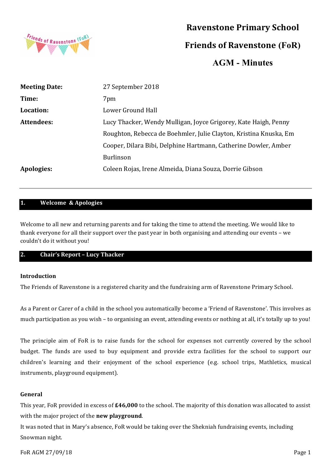

# **Ravenstone Primary School**

**Friends of Ravenstone (FoR)**

**AGM - Minutes**

| <b>Meeting Date:</b> | 27 September 2018                                                 |  |
|----------------------|-------------------------------------------------------------------|--|
| Time:                | 7pm                                                               |  |
| Location:            | Lower Ground Hall                                                 |  |
| Attendees:           | Lucy Thacker, Wendy Mulligan, Joyce Grigorey, Kate Haigh, Penny   |  |
|                      | Roughton, Rebecca de Boehmler, Julie Clayton, Kristina Knuska, Em |  |
|                      | Cooper, Dilara Bibi, Delphine Hartmann, Catherine Dowler, Amber   |  |
|                      | <b>Burlinson</b>                                                  |  |
| Apologies:           | Coleen Rojas, Irene Almeida, Diana Souza, Dorrie Gibson           |  |

## **1. Welcome & Apologies**

Welcome to all new and returning parents and for taking the time to attend the meeting. We would like to thank everyone for all their support over the past year in both organising and attending our events – we couldn't do it without you!

## **2. Chair's Report – Lucy Thacker**

## **Introduction**

The Friends of Ravenstone is a registered charity and the fundraising arm of Ravenstone Primary School.

As a Parent or Carer of a child in the school you automatically become a 'Friend of Ravenstone'. This involves as much participation as you wish – to organising an event, attending events or nothing at all, it's totally up to you!

The principle aim of FoR is to raise funds for the school for expenses not currently covered by the school budget. The funds are used to buy equipment and provide extra facilities for the school to support our children's learning and their enjoyment of the school experience (e.g. school trips, Mathletics, musical instruments, playground equipment).

## **General**

This year, FoR provided in excess of £46,000 to the school. The majority of this donation was allocated to assist with the major project of the **new playground**.

It was noted that in Mary's absence, FoR would be taking over the Shekniah fundraising events, including Snowman night.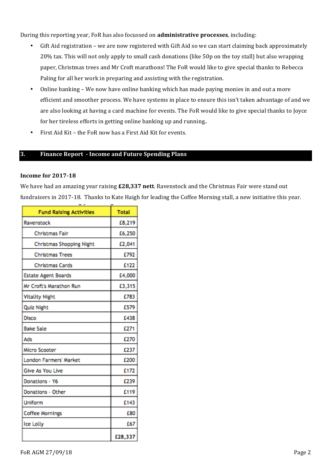During this reporting year, FoR has also focussed on **administrative processes**, including:

- Gift Aid registration we are now registered with Gift Aid so we can start claiming back approximately 20% tax. This will not only apply to small cash donations (like 50p on the toy stall) but also wrapping paper, Christmas trees and Mr Croft marathons! The FoR would like to give special thanks to Rebecca Paling for all her work in preparing and assisting with the registration.
- Online banking We now have online banking which has made paying monies in and out a more efficient and smoother process. We have systems in place to ensure this isn't taken advantage of and we are also looking at having a card machine for events. The FoR would like to give special thanks to Joyce for her tireless efforts in getting online banking up and running..
- First Aid Kit the FoR now has a First Aid Kit for events.

## **3. Finance Report - Income and Future Spending Plans**

#### **Income for 2017-18**

We have had an amazing year raising  $£28,337$  nett. Ravenstock and the Christmas Fair were stand out fundraisers in 2017-18. Thanks to Kate Haigh for leading the Coffee Morning stall, a new initiative this year.

| <b>Fund Raising Activities</b>  | <b>Total</b> |
|---------------------------------|--------------|
| Ravenstock                      | £8,219       |
| Christmas Fair                  | £6,250       |
| <b>Christmas Shopping Night</b> | £2,041       |
| <b>Christmas Trees</b>          | £792         |
| <b>Christmas Cards</b>          | £122         |
| <b>Estate Agent Boards</b>      | £4,000       |
| Mr Croft's Marathon Run         | £3,315       |
| <b>Vitality Night</b>           | £783         |
| <b>Quiz Night</b>               | £579         |
| Disco                           | £438         |
| <b>Bake Sale</b>                | £271         |
| Ads                             | £270         |
| Micro Scooter                   | £237         |
| London Farmers' Market          | £200         |
| Give As You Live                | £172         |
| Donations - Y6                  | £239         |
| Donations - Other               | £119         |
| Uniform                         | £143         |
| <b>Coffee Mornings</b>          | £80          |
| Ice Lolly                       | £67          |
|                                 | £28,337      |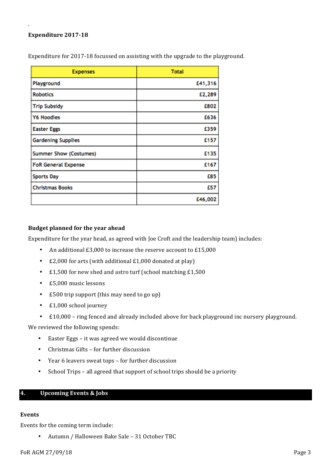#### Expenditure 2017-18

. 

| <b>Expenses</b>               | <b>Total</b> |
|-------------------------------|--------------|
| Playground                    | £41,316      |
| <b>Robotics</b>               | £2,289       |
| <b>Trip Subsidy</b>           | £802         |
| <b>Y6 Hoodies</b>             | £636         |
| <b>Easter Eggs</b>            | £359         |
| <b>Gardening Supplies</b>     | £157         |
| <b>Summer Show (Costumes)</b> | £135         |
| <b>FoR General Expense</b>    | £167         |
| <b>Sports Day</b>             | £85          |
| <b>Christmas Books</b>        | £57          |
|                               | £46,002      |

Expenditure for 2017-18 focussed on assisting with the upgrade to the playground.

## **Budget planned for the year ahead**

Expenditure for the year head, as agreed with Joe Croft and the leadership team) includes:

- An additional  $£3,000$  to increase the reserve account to  $£15,000$
- $£2,000$  for arts (with additional  $£1,000$  donated at play)
- £1,500 for new shed and astro turf (school matching £1,500
- £5,000 music lessons
- £500 trip support (this may need to go up)
- $\cdot$  £1,000 school journey
- £10,000 ring fenced and already included above for back playground inc nursery playground.

We reviewed the following spends:

- Easter Eggs it was agreed we would discontinue
- Christmas Gifts for further discussion
- Year 6 leavers sweat tops for further discussion
- School Trips all agreed that support of school trips should be a priority

## **4. Upcoming Events & Jobs**

#### **Events**

Events for the coming term include:

• Autumn / Halloween Bake Sale - 31 October TBC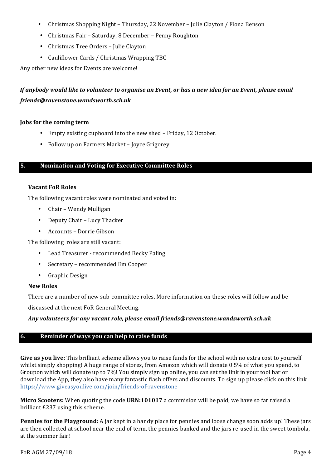- Christmas Shopping Night Thursday, 22 November Julie Clayton / Fiona Benson
- Christmas Fair Saturday, 8 December Penny Roughton
- Christmas Tree Orders Julie Clayton
- Cauliflower Cards / Christmas Wrapping TBC

Any other new ideas for Events are welcome!

## *If* anybody would like to volunteer to organise an Event, or has a new idea for an Event, please email *friends@ravenstone.wandsworth.sch.uk*

#### **Jobs** for the coming term

- Empty existing cupboard into the new shed Friday, 12 October.
- Follow up on Farmers Market Joyce Grigorey

## **5.** Nomination and Voting for Executive Committee Roles

#### **Vacant FoR Roles**

The following vacant roles were nominated and voted in:

- Chair Wendy Mulligan
- Deputy Chair Lucy Thacker
- Accounts Dorrie Gibson

The following roles are still vacant:

- Lead Treasurer recommended Becky Paling
- Secretary recommended Em Cooper
- Graphic Design

#### **New Roles**

There are a number of new sub-committee roles. More information on these roles will follow and be

discussed at the next FoR General Meeting.

## Any volunteers for any vacant role, please email friends@ravenstone.wandsworth.sch.uk

## **6. Reminder of ways you can help to raise funds**

Give as you live: This brilliant scheme allows you to raise funds for the school with no extra cost to yourself whilst simply shopping! A huge range of stores, from Amazon which will donate 0.5% of what you spend, to Groupon which will donate up to 7%! You simply sign up online, you can set the link in your tool bar or download the App, they also have many fantastic flash offers and discounts. To sign up please click on this link https://www.giveasyoulive.com/join/friends-of-ravenstone 

**Micro Scooters:** When quoting the code **URN:101017** a commision will be paid, we have so far raised a brilliant £237 using this scheme.

**Pennies for the Playground:** A jar kept in a handy place for pennies and loose change soon adds up! These jars are then collected at school near the end of term, the pennies banked and the jars re-used in the sweet tombola, at the summer fair!